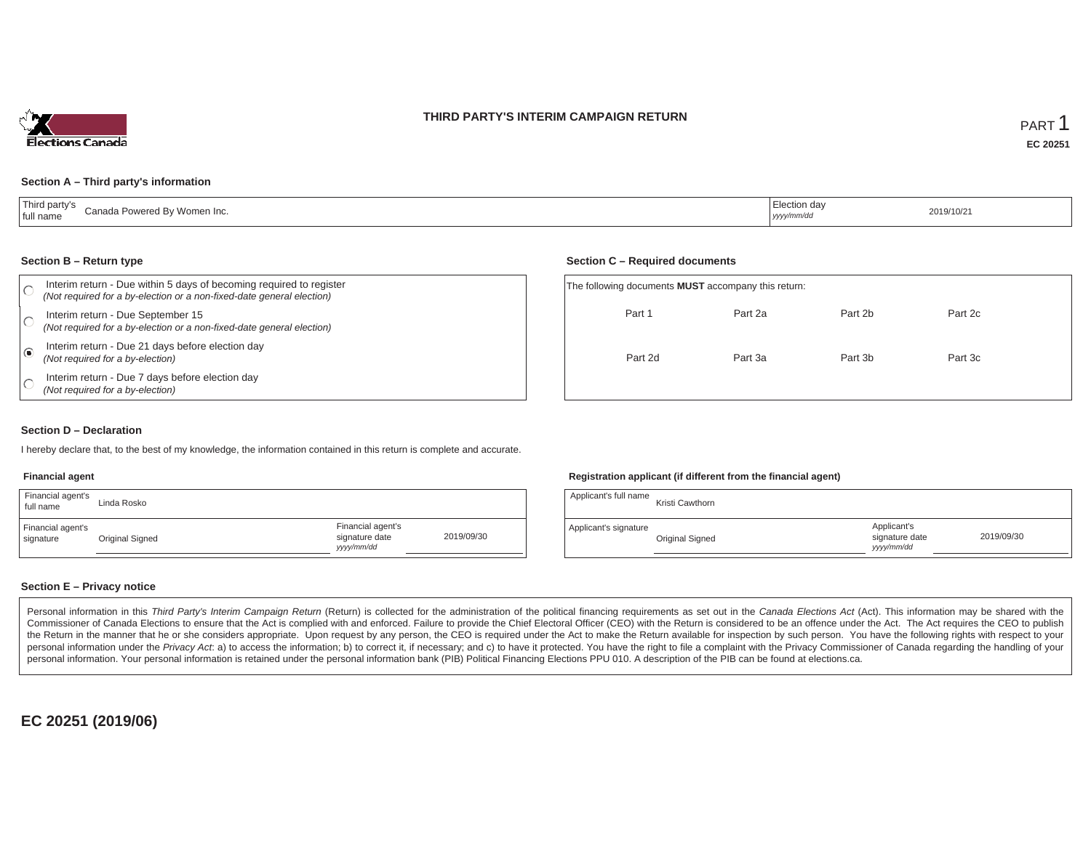### **THIRD PARTY'S INTERIM CAMPAIGN RETURN**



#### **Section A – Third party's information**

| Third party's<br>Canada Powered By<br><sup>,</sup> Women Inc.<br>' full name | lection day<br><sub>I</sub> yyyy/mm/dd | 2019/10/21 |
|------------------------------------------------------------------------------|----------------------------------------|------------|
|------------------------------------------------------------------------------|----------------------------------------|------------|

#### **Section B – Return type**

| Interim return - Due within 5 days of becoming required to register<br>(Not required for a by-election or a non-fixed-date general election) | The following documents <b>MUST</b> accompany this return: |         |         |         |  |
|----------------------------------------------------------------------------------------------------------------------------------------------|------------------------------------------------------------|---------|---------|---------|--|
| Interim return - Due September 15<br>(Not required for a by-election or a non-fixed-date general election)                                   | Part 1                                                     | Part 2a | Part 2b | Part 2c |  |
| Interim return - Due 21 days before election day<br>(Not required for a by-election)                                                         | Part 2d                                                    | Part 3a | Part 3b | Part 3c |  |
| Interim return - Due 7 days before election day<br>(Not required for a by-election)                                                          |                                                            |         |         |         |  |

#### **Section D – Declaration**

I hereby declare that, to the best of my knowledge, the information contained in this return is complete and accurate.

### **Financial agent**

| Financial agent's<br>full name | Linda Rosko     |                                                  |            |
|--------------------------------|-----------------|--------------------------------------------------|------------|
| Financial agent's<br>signature | Original Signed | Financial agent's<br>signature date<br>vyy/mm/dd | 2019/09/30 |

#### **Registration applicant (if different from the financial agent)**

**Section C – Required documents**

| Applicant's full name | Kristi Cawthorn |                                             |            |
|-----------------------|-----------------|---------------------------------------------|------------|
| Applicant's signature | Original Signed | Applicant's<br>signature date<br>yyyy/mm/dd | 2019/09/30 |

### **Section E – Privacy notice**

Personal information in this Third Party's Interim Campaign Return (Return) is collected for the administration of the political financing requirements as set out in the Canada Elections Act (Act). This information may be Commissioner of Canada Elections to ensure that the Act is complied with and enforced. Failure to provide the Chief Electoral Officer (CEO) with the Return is considered to be an offence under the Act. The Act requires the the Return in the manner that he or she considers appropriate. Upon request by any person, the CEO is required under the Act to make the Return available for inspection by such person. You have the following rights with re personal information under the Privacy Act. a) to access the information; b) to correct it, if necessary; and c) to have it protected. You have the right to file a complaint with the Privacy Commissioner of Canada regardin personal information. Your personal information is retained under the personal information bank (PIB) Political Financing Elections PPU 010. A description of the PIB can be found at elections.ca.

**EC 20251 (2019/06)**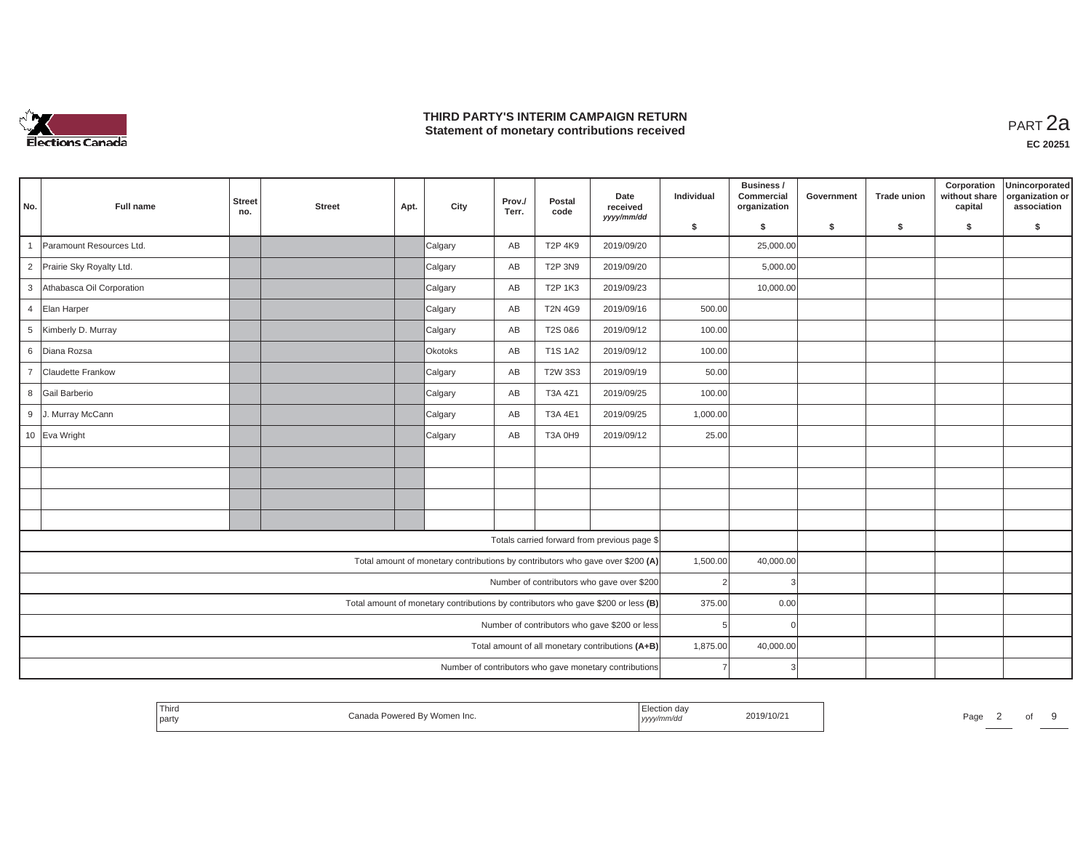

## **THIRD PARTY'S INTERIM CAMPAIGN RETURN THIRD PARTY'S INTERIM CAMPAIGN RETURN<br>Statement of monetary contributions received**

| No.            | Full name                 | <b>Street</b><br>no.                                   | <b>Street</b> | Apt. | City    | Prov./<br>Terr. | Postal<br>code | Date<br>received<br>yyyy/mm/dd                                                    | Individual     | Business /<br>Commercial<br>organization | Government | <b>Trade union</b> | Corporation<br>without share<br>capital | Unincorporated<br>organization or<br>association |
|----------------|---------------------------|--------------------------------------------------------|---------------|------|---------|-----------------|----------------|-----------------------------------------------------------------------------------|----------------|------------------------------------------|------------|--------------------|-----------------------------------------|--------------------------------------------------|
|                |                           |                                                        |               |      |         |                 |                |                                                                                   | \$             | s.                                       | \$         | S.                 | \$                                      | \$                                               |
|                | Paramount Resources Ltd.  |                                                        |               |      | Calgary | AB              | T2P 4K9        | 2019/09/20                                                                        |                | 25,000.00                                |            |                    |                                         |                                                  |
| $\overline{2}$ | Prairie Sky Royalty Ltd.  |                                                        |               |      | Calgary | AB              | <b>T2P 3N9</b> | 2019/09/20                                                                        |                | 5,000.00                                 |            |                    |                                         |                                                  |
| 3              | Athabasca Oil Corporation |                                                        |               |      | Calgary | AB              | <b>T2P 1K3</b> | 2019/09/23                                                                        |                | 10,000.00                                |            |                    |                                         |                                                  |
| $\overline{4}$ | Elan Harper               |                                                        |               |      | Calgary | AB              | <b>T2N 4G9</b> | 2019/09/16                                                                        | 500.00         |                                          |            |                    |                                         |                                                  |
| 5              | Kimberly D. Murray        |                                                        |               |      | Calgary | AB              | T2S 0&6        | 2019/09/12                                                                        | 100.00         |                                          |            |                    |                                         |                                                  |
| 6              | Diana Rozsa               |                                                        |               |      | Okotoks | AB              | <b>T1S 1A2</b> | 2019/09/12                                                                        | 100.00         |                                          |            |                    |                                         |                                                  |
| $\overline{7}$ | Claudette Frankow         |                                                        |               |      | Calgary | AB              | <b>T2W 3S3</b> | 2019/09/19                                                                        | 50.00          |                                          |            |                    |                                         |                                                  |
| 8              | Gail Barberio             |                                                        |               |      | Calgary | AB              | T3A 4Z1        | 2019/09/25                                                                        | 100.00         |                                          |            |                    |                                         |                                                  |
| 9              | J. Murray McCann          |                                                        |               |      | Calgary | AB              | T3A 4E1        | 2019/09/25                                                                        | 1,000.00       |                                          |            |                    |                                         |                                                  |
|                | 10 Eva Wright             |                                                        |               |      | Calgary | AB              | <b>T3A 0H9</b> | 2019/09/12                                                                        | 25.00          |                                          |            |                    |                                         |                                                  |
|                |                           |                                                        |               |      |         |                 |                |                                                                                   |                |                                          |            |                    |                                         |                                                  |
|                |                           |                                                        |               |      |         |                 |                |                                                                                   |                |                                          |            |                    |                                         |                                                  |
|                |                           |                                                        |               |      |         |                 |                |                                                                                   |                |                                          |            |                    |                                         |                                                  |
|                |                           |                                                        |               |      |         |                 |                |                                                                                   |                |                                          |            |                    |                                         |                                                  |
|                |                           |                                                        |               |      |         |                 |                | Totals carried forward from previous page \$                                      |                |                                          |            |                    |                                         |                                                  |
|                |                           |                                                        |               |      |         |                 |                | Total amount of monetary contributions by contributors who gave over \$200 (A)    | 1,500.00       | 40,000.00                                |            |                    |                                         |                                                  |
|                |                           |                                                        |               |      |         |                 |                | Number of contributors who gave over \$200                                        | $\overline{2}$ |                                          |            |                    |                                         |                                                  |
|                |                           |                                                        |               |      |         |                 |                | Total amount of monetary contributions by contributors who gave \$200 or less (B) | 375.00         | 0.00                                     |            |                    |                                         |                                                  |
|                |                           |                                                        |               |      |         |                 |                | Number of contributors who gave \$200 or less                                     | 5              |                                          |            |                    |                                         |                                                  |
|                |                           |                                                        |               |      |         |                 |                | Total amount of all monetary contributions (A+B)                                  | 1,875.00       | 40,000.00                                |            |                    |                                         |                                                  |
|                |                           | Number of contributors who gave monetary contributions |               |      |         |                 |                |                                                                                   |                |                                          |            |                    |                                         |                                                  |

| l hirc<br>nn <sub>"</sub><br>பப⊍<br>party<br>,,,,,,<br>,,,,, | 2019/10/21<br>∍-∽<br>Page |
|--------------------------------------------------------------|---------------------------|
|--------------------------------------------------------------|---------------------------|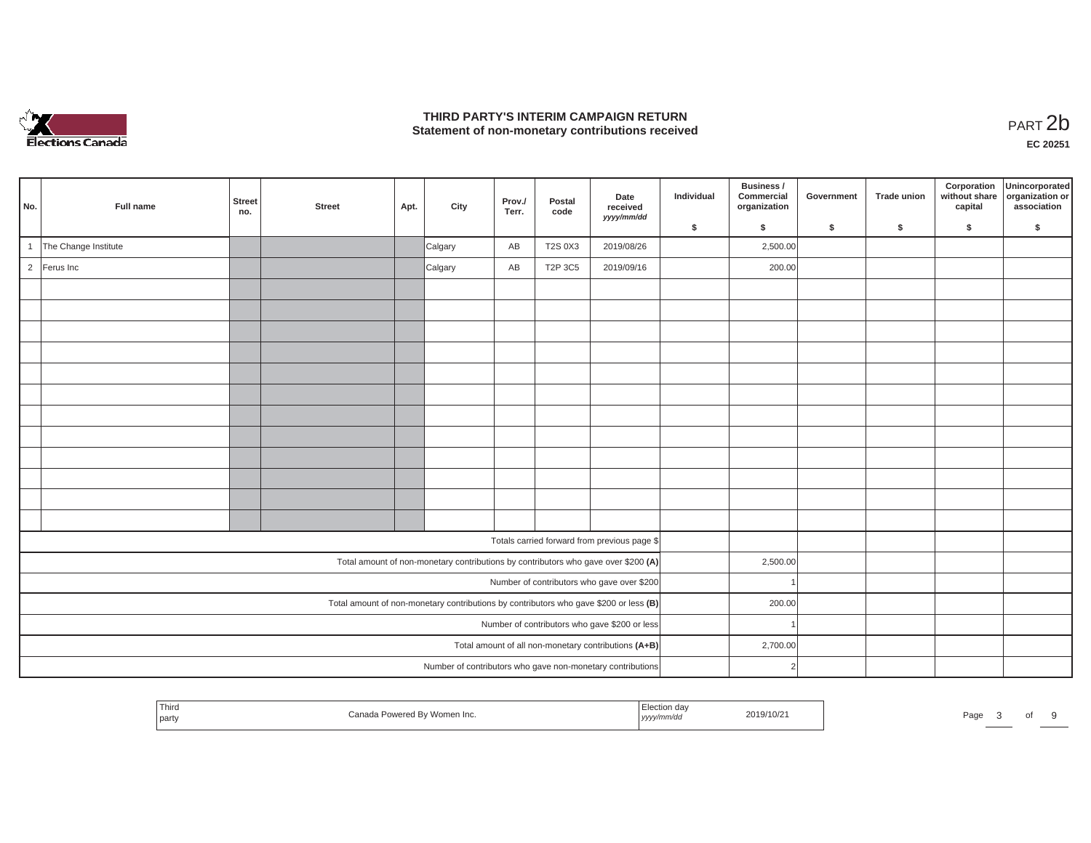

## **THIRD PARTY'S INTERIM CAMPAIGN RETURN**  THIRD PARTY'S INTERIM CAMPAIGN RETURN<br>Statement of non-monetary contributions received<br>**PART 2**b

**EC 20251**

|              |                      |                      |               |      |         |                 |                | Date                                                                                  | Individual | Business /<br>Commercial | Government | Trade union | Corporation<br>without share | Unincorporated<br>organization or |
|--------------|----------------------|----------------------|---------------|------|---------|-----------------|----------------|---------------------------------------------------------------------------------------|------------|--------------------------|------------|-------------|------------------------------|-----------------------------------|
| No.          | Full name            | <b>Street</b><br>no. | <b>Street</b> | Apt. | City    | Prov./<br>Terr. | Postal<br>code | received<br>yyyy/mm/dd                                                                |            | organization             |            |             | capital                      | association                       |
|              |                      |                      |               |      |         |                 |                |                                                                                       | \$         | $\mathsf{s}$             | \$         | \$          | \$                           | \$                                |
| $\mathbf{1}$ | The Change Institute |                      |               |      | Calgary | AB              | <b>T2S 0X3</b> | 2019/08/26                                                                            |            | 2,500.00                 |            |             |                              |                                   |
|              | 2 Ferus Inc          |                      |               |      | Calgary | AB              | T2P 3C5        | 2019/09/16                                                                            |            | 200.00                   |            |             |                              |                                   |
|              |                      |                      |               |      |         |                 |                |                                                                                       |            |                          |            |             |                              |                                   |
|              |                      |                      |               |      |         |                 |                |                                                                                       |            |                          |            |             |                              |                                   |
|              |                      |                      |               |      |         |                 |                |                                                                                       |            |                          |            |             |                              |                                   |
|              |                      |                      |               |      |         |                 |                |                                                                                       |            |                          |            |             |                              |                                   |
|              |                      |                      |               |      |         |                 |                |                                                                                       |            |                          |            |             |                              |                                   |
|              |                      |                      |               |      |         |                 |                |                                                                                       |            |                          |            |             |                              |                                   |
|              |                      |                      |               |      |         |                 |                |                                                                                       |            |                          |            |             |                              |                                   |
|              |                      |                      |               |      |         |                 |                |                                                                                       |            |                          |            |             |                              |                                   |
|              |                      |                      |               |      |         |                 |                |                                                                                       |            |                          |            |             |                              |                                   |
|              |                      |                      |               |      |         |                 |                |                                                                                       |            |                          |            |             |                              |                                   |
|              |                      |                      |               |      |         |                 |                |                                                                                       |            |                          |            |             |                              |                                   |
|              |                      |                      |               |      |         |                 |                |                                                                                       |            |                          |            |             |                              |                                   |
|              |                      |                      |               |      |         |                 |                | Totals carried forward from previous page \$                                          |            |                          |            |             |                              |                                   |
|              |                      |                      |               |      |         |                 |                | Total amount of non-monetary contributions by contributors who gave over \$200 (A)    |            | 2,500.00                 |            |             |                              |                                   |
|              |                      |                      |               |      |         |                 |                | Number of contributors who gave over \$200                                            |            |                          |            |             |                              |                                   |
|              |                      |                      |               |      |         |                 |                | Total amount of non-monetary contributions by contributors who gave \$200 or less (B) |            | 200.00                   |            |             |                              |                                   |
|              |                      |                      |               |      |         |                 |                | Number of contributors who gave \$200 or less                                         |            |                          |            |             |                              |                                   |
|              |                      |                      |               |      |         |                 |                | Total amount of all non-monetary contributions (A+B)                                  |            | 2,700.00                 |            |             |                              |                                   |
|              |                      |                      |               |      |         |                 |                | Number of contributors who gave non-monetary contributions                            |            | $\overline{2}$           |            |             |                              |                                   |

| <b>Their</b><br>ction da<br>1 MH Q<br>Powered By Women Inc.<br>2019/10/21<br>Page<br>nnc<br>.<br>party<br>$ $ yyyy $\cdot$<br> |  |  |  |  |
|--------------------------------------------------------------------------------------------------------------------------------|--|--|--|--|
|--------------------------------------------------------------------------------------------------------------------------------|--|--|--|--|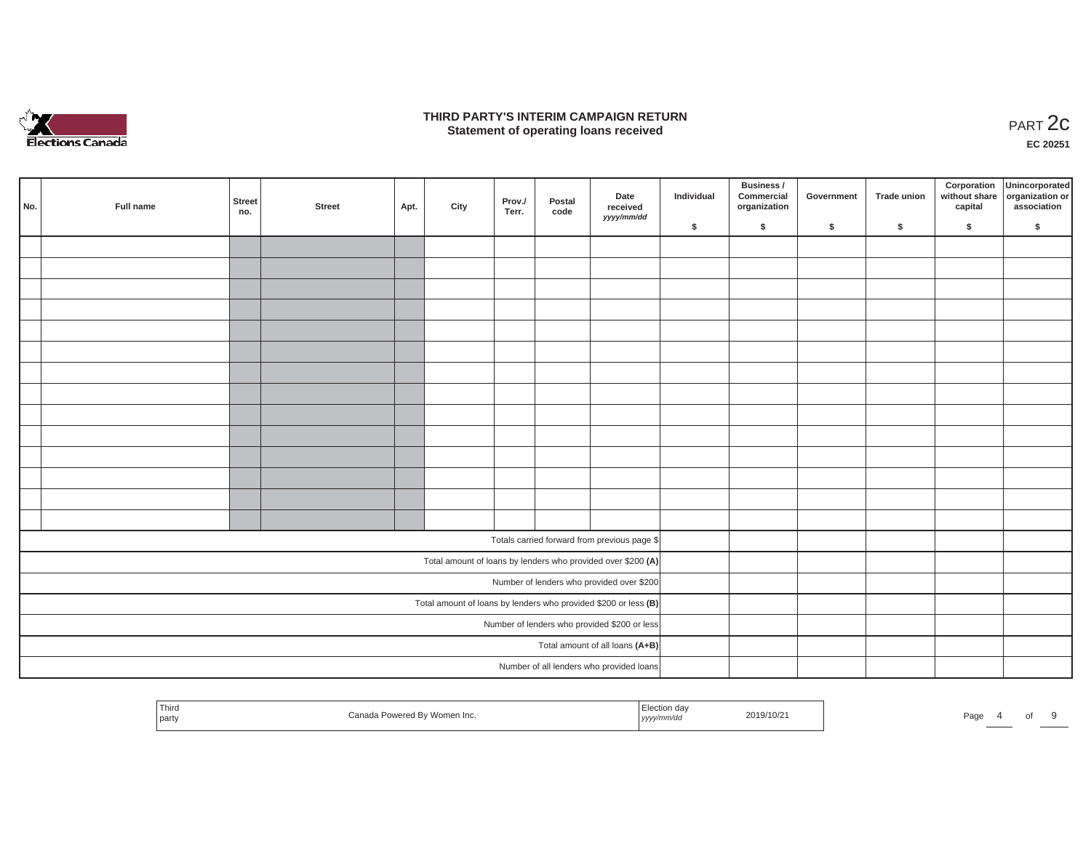

### **THIRD PARTY'S INTERIM CAMPAIGN RETURN**  RD PARTY'S INTERIM CAMPAIGN RETURN<br>Statement of operating loans received **PART 2c**

**EC 20251**

|     |           |               |        |      |      |                 |                |                                                                 | Business / |                            |            |             | Corporation Unincorporated<br>without share organization or |             |
|-----|-----------|---------------|--------|------|------|-----------------|----------------|-----------------------------------------------------------------|------------|----------------------------|------------|-------------|-------------------------------------------------------------|-------------|
| No. | Full name | Street<br>no. | Street | Apt. | City | Prov./<br>Terr. | Postal<br>code | Date<br>received                                                | Individual | Commercial<br>organization | Government | Trade union | capital                                                     | association |
|     |           |               |        |      |      |                 |                | yyyy/mm/dd                                                      | \$         | $\sqrt{2}$                 | \$         | $\sqrt{2}$  | \$                                                          | \$          |
|     |           |               |        |      |      |                 |                |                                                                 |            |                            |            |             |                                                             |             |
|     |           |               |        |      |      |                 |                |                                                                 |            |                            |            |             |                                                             |             |
|     |           |               |        |      |      |                 |                |                                                                 |            |                            |            |             |                                                             |             |
|     |           |               |        |      |      |                 |                |                                                                 |            |                            |            |             |                                                             |             |
|     |           |               |        |      |      |                 |                |                                                                 |            |                            |            |             |                                                             |             |
|     |           |               |        |      |      |                 |                |                                                                 |            |                            |            |             |                                                             |             |
|     |           |               |        |      |      |                 |                |                                                                 |            |                            |            |             |                                                             |             |
|     |           |               |        |      |      |                 |                |                                                                 |            |                            |            |             |                                                             |             |
|     |           |               |        |      |      |                 |                |                                                                 |            |                            |            |             |                                                             |             |
|     |           |               |        |      |      |                 |                |                                                                 |            |                            |            |             |                                                             |             |
|     |           |               |        |      |      |                 |                |                                                                 |            |                            |            |             |                                                             |             |
|     |           |               |        |      |      |                 |                |                                                                 |            |                            |            |             |                                                             |             |
|     |           |               |        |      |      |                 |                |                                                                 |            |                            |            |             |                                                             |             |
|     |           |               |        |      |      |                 |                |                                                                 |            |                            |            |             |                                                             |             |
|     |           |               |        |      |      |                 |                | Totals carried forward from previous page \$                    |            |                            |            |             |                                                             |             |
|     |           |               |        |      |      |                 |                | Total amount of loans by lenders who provided over \$200 (A)    |            |                            |            |             |                                                             |             |
|     |           |               |        |      |      |                 |                | Number of lenders who provided over \$200                       |            |                            |            |             |                                                             |             |
|     |           |               |        |      |      |                 |                | Total amount of loans by lenders who provided \$200 or less (B) |            |                            |            |             |                                                             |             |
|     |           |               |        |      |      |                 |                | Number of lenders who provided \$200 or less                    |            |                            |            |             |                                                             |             |
|     |           |               |        |      |      |                 |                | Total amount of all loans (A+B)                                 |            |                            |            |             |                                                             |             |
|     |           |               |        |      |      |                 |                | Number of all lenders who provided loans                        |            |                            |            |             |                                                             |             |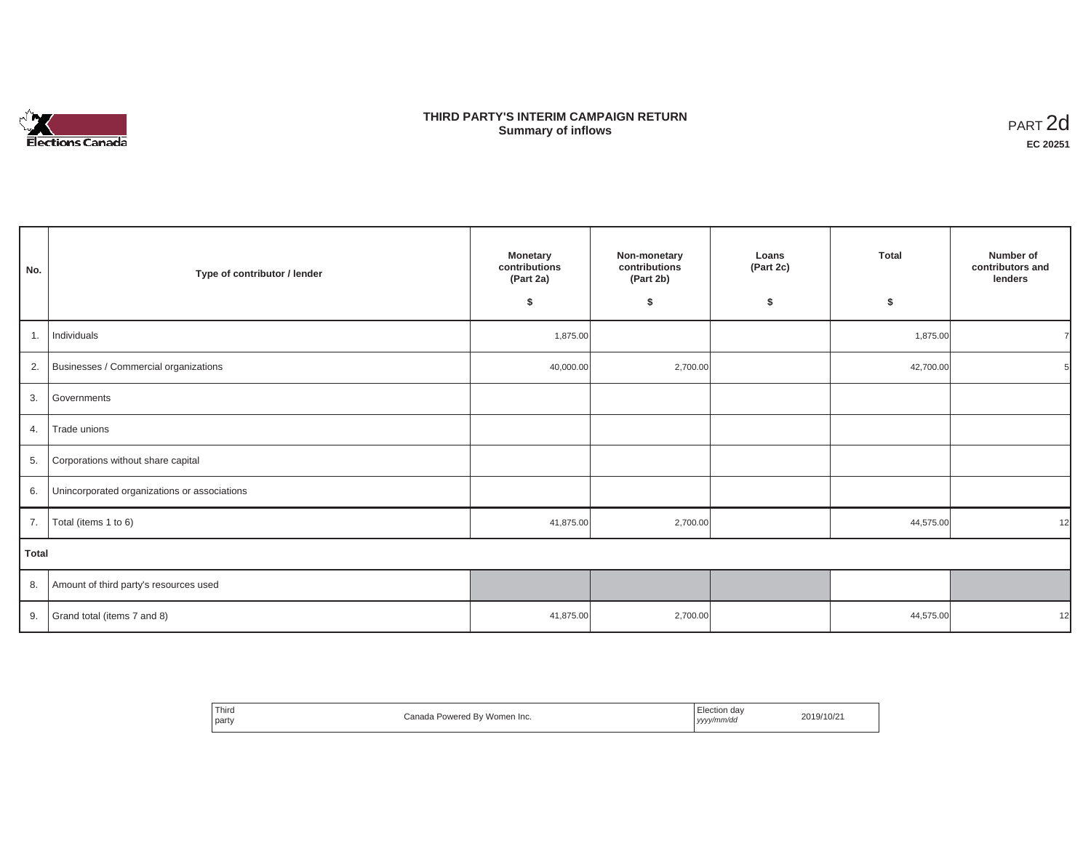

## **THIRD PARTY'S INTERIM CAMPAIGN RETURN SUMMARY STATE SUMMARY OF A SUMMARY OF A SUMMARY OF A SUMMARY OF A SUMMARY OF A SUMMARY OF A SUMMARY OF A SUMMA**<br> **Summary of inflows**

| No.   | Type of contributor / lender                    | <b>Monetary</b><br>Non-monetary<br>contributions<br>contributions<br>(Part 2a)<br>(Part 2b)<br>\$<br>\$ |          | Loans<br>(Part 2c)<br>\$ | <b>Total</b><br>\$ | Number of<br>contributors and<br>lenders |
|-------|-------------------------------------------------|---------------------------------------------------------------------------------------------------------|----------|--------------------------|--------------------|------------------------------------------|
| 1.    | Individuals                                     | 1,875.00                                                                                                |          |                          | 1,875.00           |                                          |
|       | 2. Businesses / Commercial organizations        | 40,000.00                                                                                               | 2,700.00 |                          | 42,700.00          |                                          |
|       | 3. Governments                                  |                                                                                                         |          |                          |                    |                                          |
| 4.    | Trade unions                                    |                                                                                                         |          |                          |                    |                                          |
| 5.    | Corporations without share capital              |                                                                                                         |          |                          |                    |                                          |
|       | 6. Unincorporated organizations or associations |                                                                                                         |          |                          |                    |                                          |
| 7.    | Total (items 1 to 6)                            | 41,875.00                                                                                               | 2,700.00 |                          | 44,575.00          | 12                                       |
| Total |                                                 |                                                                                                         |          |                          |                    |                                          |
|       | 8. Amount of third party's resources used       |                                                                                                         |          |                          |                    |                                          |
|       | 9. Grand total (items $7$ and 8)                | 41,875.00                                                                                               | 2,700.00 |                          | 44,575.00          | 12                                       |

| ' Third<br>Canada Powered Bv Women Inc.<br>party | Election dav<br>2019/10/21<br>yyyy/mm/dd<br>,,,, |
|--------------------------------------------------|--------------------------------------------------|
|--------------------------------------------------|--------------------------------------------------|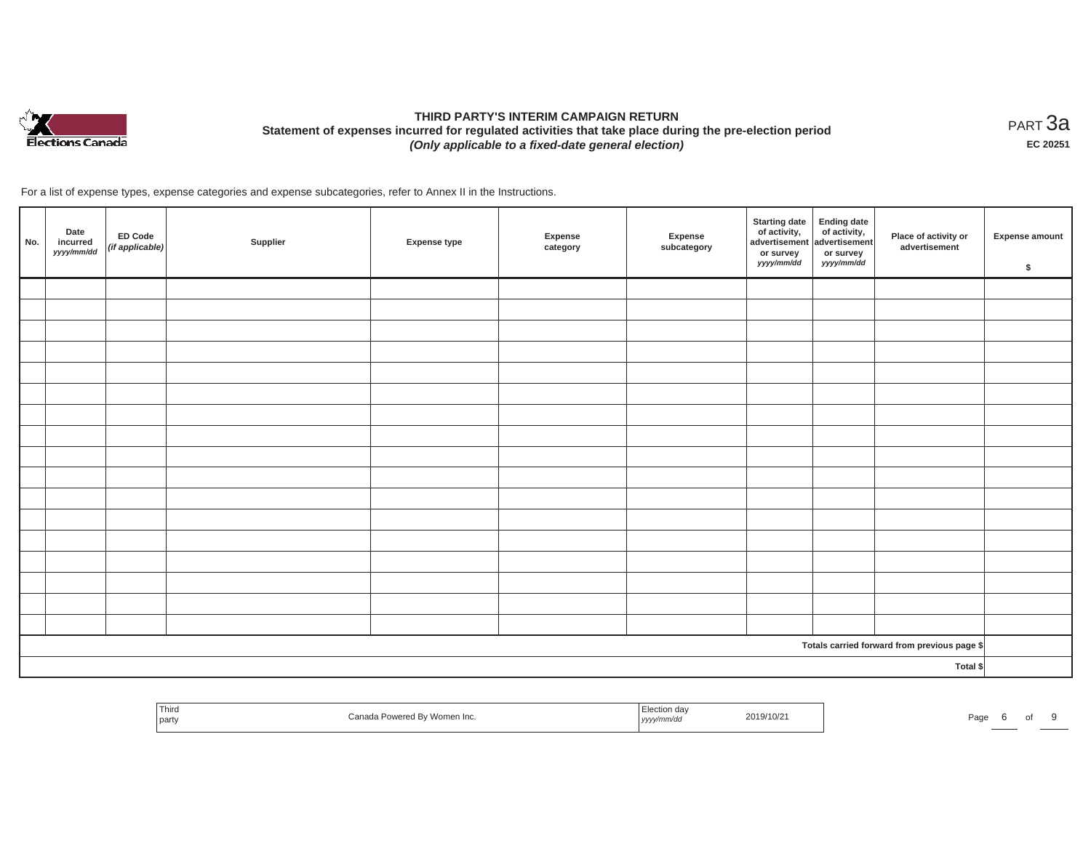

# **THIRD PARTY'S INTERIM CAMPAIGN RETURN Statement of expenses incurred for regulated activities that take place during the pre-election period**  *(Only applicable to a fixed-date general election)*

<code>PART $3$ a</code> **EC 20251**

For a list of expense types, expense categories and expense subcategories, refer to Annex II in the Instructions.

| No. | Date<br>incurred<br>yyyy/mm/dd | ED Code<br>(if applicable) | Supplier | <b>Expense type</b> | Expense<br>category | Expense<br>subcategory | <b>Starting date</b><br>of activity,<br>advertisement<br>or survey<br>yyyy/mm/dd | Ending date<br>of activity,<br>advertisement<br>or survey<br>yyyy/mm/dd | Place of activity or<br>advertisement        | <b>Expense amount</b><br>\$ |
|-----|--------------------------------|----------------------------|----------|---------------------|---------------------|------------------------|----------------------------------------------------------------------------------|-------------------------------------------------------------------------|----------------------------------------------|-----------------------------|
|     |                                |                            |          |                     |                     |                        |                                                                                  |                                                                         |                                              |                             |
|     |                                |                            |          |                     |                     |                        |                                                                                  |                                                                         |                                              |                             |
|     |                                |                            |          |                     |                     |                        |                                                                                  |                                                                         |                                              |                             |
|     |                                |                            |          |                     |                     |                        |                                                                                  |                                                                         |                                              |                             |
|     |                                |                            |          |                     |                     |                        |                                                                                  |                                                                         |                                              |                             |
|     |                                |                            |          |                     |                     |                        |                                                                                  |                                                                         |                                              |                             |
|     |                                |                            |          |                     |                     |                        |                                                                                  |                                                                         |                                              |                             |
|     |                                |                            |          |                     |                     |                        |                                                                                  |                                                                         |                                              |                             |
|     |                                |                            |          |                     |                     |                        |                                                                                  |                                                                         |                                              |                             |
|     |                                |                            |          |                     |                     |                        |                                                                                  |                                                                         |                                              |                             |
|     |                                |                            |          |                     |                     |                        |                                                                                  |                                                                         |                                              |                             |
|     |                                |                            |          |                     |                     |                        |                                                                                  |                                                                         |                                              |                             |
|     |                                |                            |          |                     |                     |                        |                                                                                  |                                                                         |                                              |                             |
|     |                                |                            |          |                     |                     |                        |                                                                                  |                                                                         |                                              |                             |
|     |                                |                            |          |                     |                     |                        |                                                                                  |                                                                         |                                              |                             |
|     |                                |                            |          |                     |                     |                        |                                                                                  |                                                                         |                                              |                             |
|     |                                |                            |          |                     |                     |                        |                                                                                  |                                                                         |                                              |                             |
|     |                                |                            |          |                     |                     |                        |                                                                                  |                                                                         | Totals carried forward from previous page \$ |                             |
|     |                                |                            |          |                     |                     |                        |                                                                                  |                                                                         | Total \$                                     |                             |

| Third<br>$\sim$<br>.71171<br>  party | ™Powered By Women Inc. | וaa c<br>mm/ac<br>,,,,, | 2019/10/2 | Pao <sup>2</sup> |  |  |
|--------------------------------------|------------------------|-------------------------|-----------|------------------|--|--|
|                                      |                        |                         |           |                  |  |  |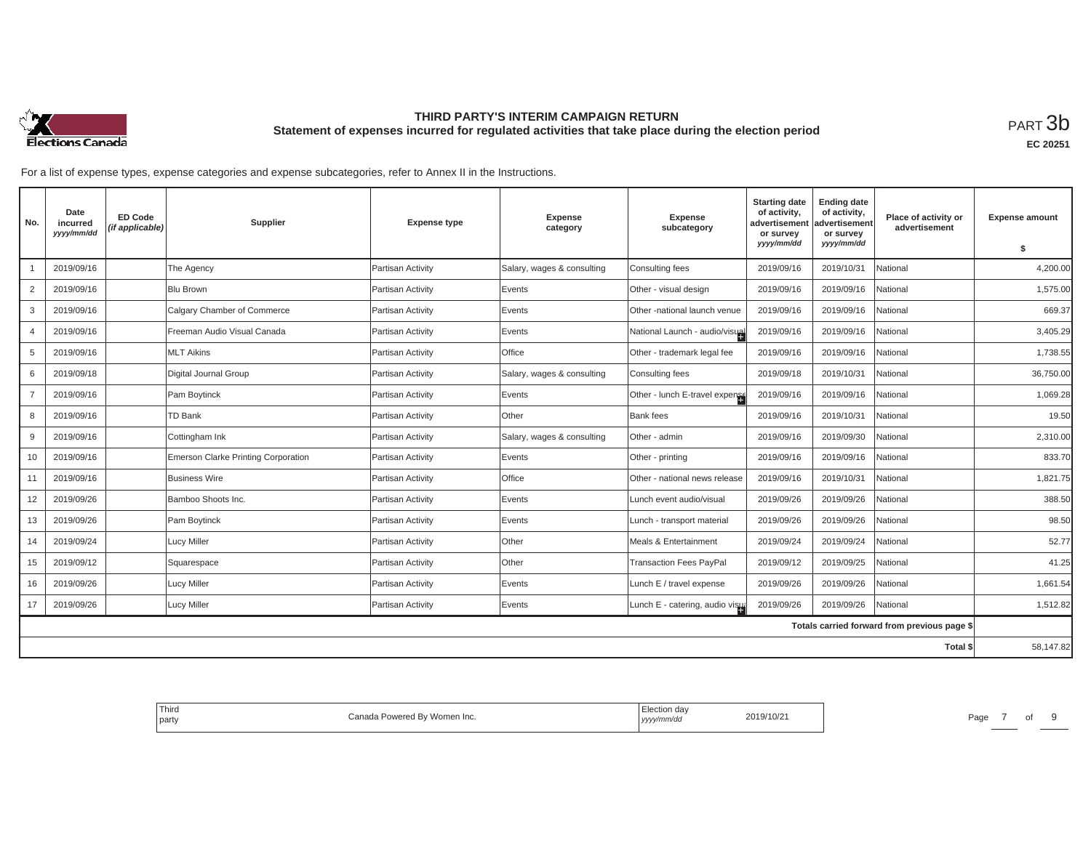

## **THIRD PARTY'S INTERIM CAMPAIGN RETURN Statement of expenses incurred for regulated activities that take place during the election period**<br>РАRТ  $3\mathrm{b}$

**EC 20251**

For a list of expense types, expense categories and expense subcategories, refer to Annex II in the Instructions.

| No.            | Date<br>incurred<br>yyyy/mm/dd | ED Code<br>(if applicable) | Supplier                            | <b>Expense type</b> | <b>Expense</b><br>category | <b>Expense</b><br>subcategory   | <b>Starting date</b><br>of activity,<br>advertisement<br>or survey | <b>Ending date</b><br>of activity,<br>advertisement<br>or survey | Place of activity or<br>advertisement        | <b>Expense amount</b> |
|----------------|--------------------------------|----------------------------|-------------------------------------|---------------------|----------------------------|---------------------------------|--------------------------------------------------------------------|------------------------------------------------------------------|----------------------------------------------|-----------------------|
|                |                                |                            |                                     |                     |                            |                                 | yyyy/mm/dd                                                         | yyyy/mm/dd                                                       |                                              | \$                    |
|                | 2019/09/16                     |                            | The Agency                          | Partisan Activity   | Salary, wages & consulting | Consulting fees                 | 2019/09/16                                                         | 2019/10/31                                                       | National                                     | 4,200.00              |
| 2              | 2019/09/16                     |                            | <b>Blu Brown</b>                    | Partisan Activity   | Events                     | Other - visual design           | 2019/09/16                                                         | 2019/09/16                                                       | National                                     | 1,575.00              |
| 3              | 2019/09/16                     |                            | Calgary Chamber of Commerce         | Partisan Activity   | Events                     | Other -national launch venue    | 2019/09/16                                                         | 2019/09/16                                                       | National                                     | 669.37                |
| $\overline{4}$ | 2019/09/16                     |                            | Freeman Audio Visual Canada         | Partisan Activity   | Events                     | National Launch - audio/visual  | 2019/09/16                                                         | 2019/09/16                                                       | National                                     | 3,405.29              |
| 5              | 2019/09/16                     |                            | <b>MLT Aikins</b>                   | Partisan Activity   | Office                     | Other - trademark legal fee     | 2019/09/16                                                         | 2019/09/16                                                       | National                                     | 1,738.55              |
| 6              | 2019/09/18                     |                            | Digital Journal Group               | Partisan Activity   | Salary, wages & consulting | Consulting fees                 | 2019/09/18                                                         | 2019/10/31                                                       | National                                     | 36,750.00             |
| $\overline{7}$ | 2019/09/16                     |                            | Pam Boytinck                        | Partisan Activity   | Events                     | Other - lunch E-travel expense  | 2019/09/16                                                         | 2019/09/16                                                       | National                                     | 1,069.28              |
| 8              | 2019/09/16                     |                            | <b>TD Bank</b>                      | Partisan Activity   | Other                      | <b>Bank</b> fees                | 2019/09/16                                                         | 2019/10/31                                                       | National                                     | 19.50                 |
| 9              | 2019/09/16                     |                            | Cottingham Ink                      | Partisan Activity   | Salary, wages & consulting | Other - admin                   | 2019/09/16                                                         | 2019/09/30                                                       | National                                     | 2,310.00              |
| 10             | 2019/09/16                     |                            | Emerson Clarke Printing Corporation | Partisan Activity   | Events                     | Other - printing                | 2019/09/16                                                         | 2019/09/16                                                       | National                                     | 833.70                |
| 11             | 2019/09/16                     |                            | <b>Business Wire</b>                | Partisan Activity   | Office                     | Other - national news release   | 2019/09/16                                                         | 2019/10/31                                                       | National                                     | 1,821.75              |
| 12             | 2019/09/26                     |                            | Bamboo Shoots Inc.                  | Partisan Activity   | Events                     | Lunch event audio/visual        | 2019/09/26                                                         | 2019/09/26                                                       | National                                     | 388.50                |
| 13             | 2019/09/26                     |                            | Pam Boytinck                        | Partisan Activity   | Events                     | Lunch - transport material      | 2019/09/26                                                         | 2019/09/26                                                       | National                                     | 98.50                 |
| 14             | 2019/09/24                     |                            | <b>Lucy Miller</b>                  | Partisan Activity   | Other                      | Meals & Entertainment           | 2019/09/24                                                         | 2019/09/24                                                       | National                                     | 52.77                 |
| 15             | 2019/09/12                     |                            | Squarespace                         | Partisan Activity   | Other                      | <b>Transaction Fees PayPal</b>  | 2019/09/12                                                         | 2019/09/25                                                       | National                                     | 41.25                 |
| 16             | 2019/09/26                     |                            | <b>Lucy Miller</b>                  | Partisan Activity   | Events                     | Lunch E / travel expense        | 2019/09/26                                                         | 2019/09/26                                                       | National                                     | 1,661.54              |
| 17             | 2019/09/26                     |                            | <b>Lucy Miller</b>                  | Partisan Activity   | Events                     | Lunch E - catering, audio visus | 2019/09/26                                                         | 2019/09/26                                                       | National                                     | 1,512.82              |
|                |                                |                            |                                     |                     |                            |                                 |                                                                    |                                                                  | Totals carried forward from previous page \$ |                       |
|                |                                |                            |                                     |                     |                            |                                 |                                                                    |                                                                  | <b>Total \$</b>                              | 58,147.82             |

| Third<br>* Powered By Women Inc.<br>Canada<br>l party | ∃lection dav<br>2019/10/21<br>yyyy/mm/aa | Page |
|-------------------------------------------------------|------------------------------------------|------|
|-------------------------------------------------------|------------------------------------------|------|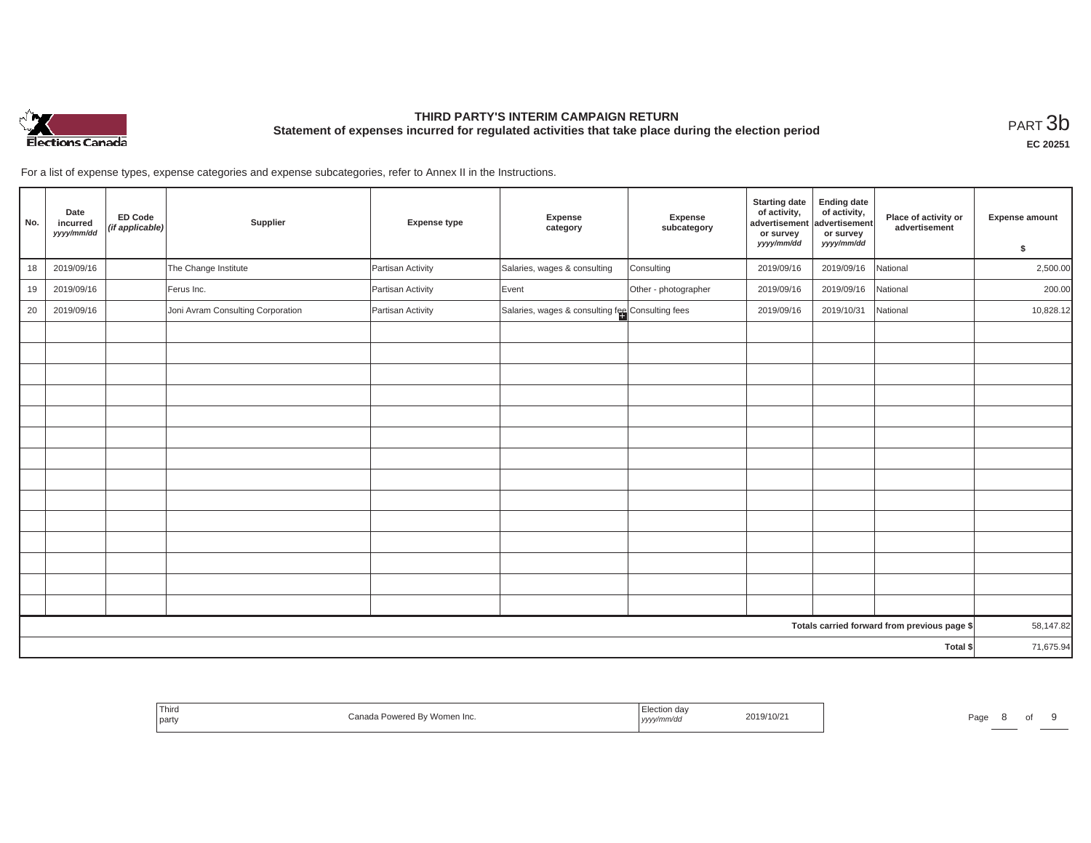

# **THIRD PARTY'S INTERIM CAMPAIGN RETURN Statement of expenses incurred for regulated activities that take place during the election period**<br>РАRТ  $3\mathrm{b}$

**EC 20251**

For a list of expense types, expense categories and expense subcategories, refer to Annex II in the Instructions.

| No. | Date<br>incurred<br>yyyy/mm/dd | <b>ED Code</b><br>(if applicable) | Supplier                          | <b>Expense type</b> | Expense<br>category                              | Expense<br>subcategory | <b>Starting date</b><br>of activity,<br>advertisement<br>or survey<br>yyyy/mm/dd | <b>Ending date</b><br>of activity,<br>advertisement<br>or survey<br>yyyy/mm/dd | Place of activity or<br>advertisement        | <b>Expense amount</b><br>\$ |
|-----|--------------------------------|-----------------------------------|-----------------------------------|---------------------|--------------------------------------------------|------------------------|----------------------------------------------------------------------------------|--------------------------------------------------------------------------------|----------------------------------------------|-----------------------------|
| 18  | 2019/09/16                     |                                   | The Change Institute              | Partisan Activity   | Salaries, wages & consulting                     | Consulting             | 2019/09/16                                                                       | 2019/09/16                                                                     | National                                     | 2,500.00                    |
| 19  | 2019/09/16                     |                                   | Ferus Inc.                        | Partisan Activity   | Event                                            | Other - photographer   | 2019/09/16                                                                       | 2019/09/16                                                                     | National                                     | 200.00                      |
| 20  | 2019/09/16                     |                                   | Joni Avram Consulting Corporation | Partisan Activity   | Salaries, wages & consulting fee Consulting fees |                        | 2019/09/16                                                                       | 2019/10/31                                                                     | National                                     | 10,828.12                   |
|     |                                |                                   |                                   |                     |                                                  |                        |                                                                                  |                                                                                |                                              |                             |
|     |                                |                                   |                                   |                     |                                                  |                        |                                                                                  |                                                                                |                                              |                             |
|     |                                |                                   |                                   |                     |                                                  |                        |                                                                                  |                                                                                |                                              |                             |
|     |                                |                                   |                                   |                     |                                                  |                        |                                                                                  |                                                                                |                                              |                             |
|     |                                |                                   |                                   |                     |                                                  |                        |                                                                                  |                                                                                |                                              |                             |
|     |                                |                                   |                                   |                     |                                                  |                        |                                                                                  |                                                                                |                                              |                             |
|     |                                |                                   |                                   |                     |                                                  |                        |                                                                                  |                                                                                |                                              |                             |
|     |                                |                                   |                                   |                     |                                                  |                        |                                                                                  |                                                                                |                                              |                             |
|     |                                |                                   |                                   |                     |                                                  |                        |                                                                                  |                                                                                |                                              |                             |
|     |                                |                                   |                                   |                     |                                                  |                        |                                                                                  |                                                                                |                                              |                             |
|     |                                |                                   |                                   |                     |                                                  |                        |                                                                                  |                                                                                |                                              |                             |
|     |                                |                                   |                                   |                     |                                                  |                        |                                                                                  |                                                                                |                                              |                             |
|     |                                |                                   |                                   |                     |                                                  |                        |                                                                                  |                                                                                |                                              |                             |
|     |                                |                                   |                                   |                     |                                                  |                        |                                                                                  |                                                                                |                                              |                             |
|     |                                |                                   |                                   |                     |                                                  |                        |                                                                                  |                                                                                | Totals carried forward from previous page \$ | 58,147.82                   |
|     |                                |                                   |                                   |                     |                                                  |                        |                                                                                  |                                                                                | Total \$                                     | 71,675.94                   |

| Third<br>By Women Inc.<br>party<br>…wer⊷<br>. augua | Election day<br>2019/10/2<br>yyyy/mm/dd | Page<br>. . |
|-----------------------------------------------------|-----------------------------------------|-------------|
|-----------------------------------------------------|-----------------------------------------|-------------|